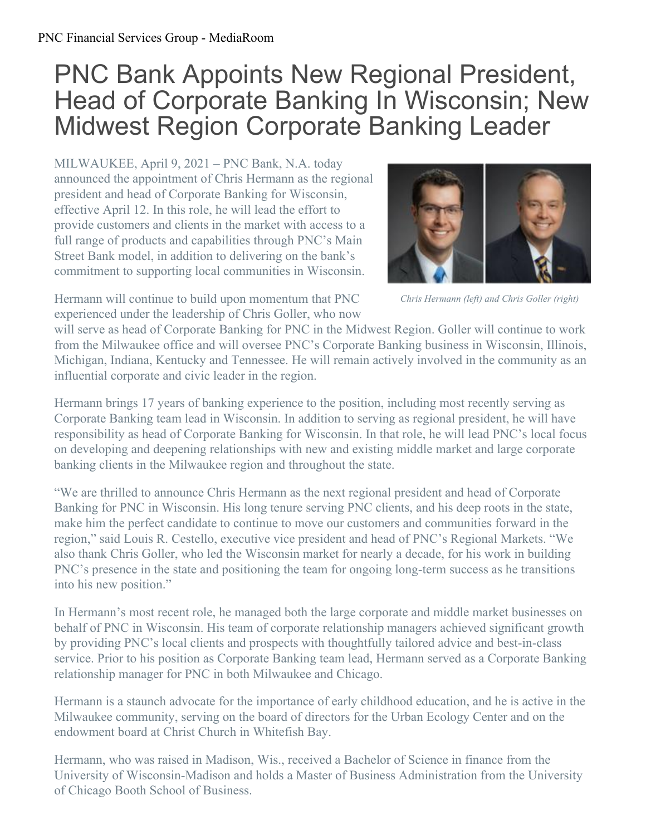## PNC Bank Appoints New Regional President, Head of Corporate Banking In Wisconsin; New Midwest Region Corporate Banking Leader

MILWAUKEE, April 9, 2021 – PNC Bank, N.A. today announced the appointment of Chris Hermann as the regional president and head of Corporate Banking for Wisconsin, effective April 12. In this role, he will lead the effort to provide customers and clients in the market with access to a full range of products and capabilities through PNC's Main Street Bank model, in addition to delivering on the bank's commitment to supporting local communities in Wisconsin.



*Chris Hermann (left) and Chris Goller (right)*

Hermann will continue to build upon momentum that PNC experienced under the leadership of Chris Goller, who now

will serve as head of Corporate Banking for PNC in the Midwest Region. Goller will continue to work from the Milwaukee office and will oversee PNC's Corporate Banking business in Wisconsin, Illinois, Michigan, Indiana, Kentucky and Tennessee. He will remain actively involved in the community as an influential corporate and civic leader in the region.

Hermann brings 17 years of banking experience to the position, including most recently serving as Corporate Banking team lead in Wisconsin. In addition to serving as regional president, he will have responsibility as head of Corporate Banking for Wisconsin. In that role, he will lead PNC's local focus on developing and deepening relationships with new and existing middle market and large corporate banking clients in the Milwaukee region and throughout the state.

"We are thrilled to announce Chris Hermann as the next regional president and head of Corporate Banking for PNC in Wisconsin. His long tenure serving PNC clients, and his deep roots in the state, make him the perfect candidate to continue to move our customers and communities forward in the region," said Louis R. Cestello, executive vice president and head of PNC's Regional Markets. "We also thank Chris Goller, who led the Wisconsin market for nearly a decade, for his work in building PNC's presence in the state and positioning the team for ongoing long-term success as he transitions into his new position."

In Hermann's most recent role, he managed both the large corporate and middle market businesses on behalf of PNC in Wisconsin. His team of corporate relationship managers achieved significant growth by providing PNC's local clients and prospects with thoughtfully tailored advice and best-in-class service. Prior to his position as Corporate Banking team lead, Hermann served as a Corporate Banking relationship manager for PNC in both Milwaukee and Chicago.

Hermann is a staunch advocate for the importance of early childhood education, and he is active in the Milwaukee community, serving on the board of directors for the Urban Ecology Center and on the endowment board at Christ Church in Whitefish Bay.

Hermann, who was raised in Madison, Wis., received a Bachelor of Science in finance from the University of Wisconsin-Madison and holds a Master of Business Administration from the University of Chicago Booth School of Business.